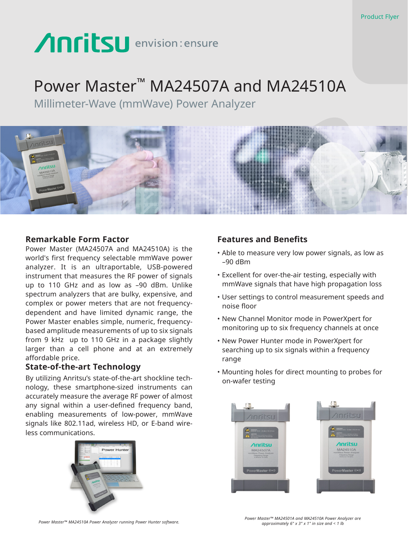# Anritsu envision: ensure

## Power Master™ MA24507A and MA24510A

Millimeter-Wave (mmWave) Power Analyzer



### **Remarkable Form Factor**

Power Master (MA24507A and MA24510A) is the world's first frequency selectable mmWave power analyzer. It is an ultraportable, USB-powered instrument that measures the RF power of signals up to 110 GHz and as low as –90 dBm. Unlike spectrum analyzers that are bulky, expensive, and complex or power meters that are not frequencydependent and have limited dynamic range, the Power Master enables simple, numeric, frequencybased amplitude measurements of up to six signals from 9 kHz up to 110 GHz in a package slightly larger than a cell phone and at an extremely affordable price.

### **State-of-the-art Technology**

By utilizing Anritsu's state-of-the-art shockline technology, these smartphone-sized instruments can accurately measure the average RF power of almost any signal within a user-defined frequency band, enabling measurements of low-power, mmWave signals like 802.11ad, wireless HD, or E-band wireless communications.



### **Features and Benefits**

- Able to measure very low power signals, as low as –90 dBm
- Excellent for over-the-air testing, especially with mmWave signals that have high propagation loss
- User settings to control measurement speeds and noise floor
- New Channel Monitor mode in PowerXpert for monitoring up to six frequency channels at once
- New Power Hunter mode in PowerXpert for searching up to six signals within a frequency range
- Mounting holes for direct mounting to probes for on-wafer testing



*Power Master™ MA24510A Power Analyzer running Power Hunter software. Power Master™ MA24501A and MA24510A Power Analyzer are approximately 6" x 3" x 1" in size and < 1 lb*